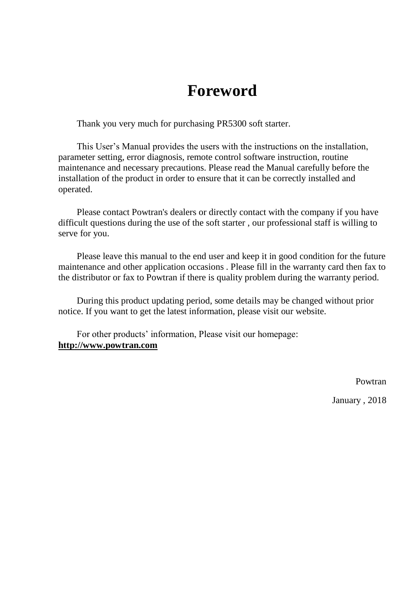# **Foreword**

Thank you very much for purchasing PR5300 soft starter.

This User's Manual provides the users with the instructions on the installation, parameter setting, error diagnosis, remote control software instruction, routine maintenance and necessary precautions. Please read the Manual carefully before the installation of the product in order to ensure that it can be correctly installed and operated.

Please contact Powtran's dealers or directly contact with the company if you have difficult questions during the use of the soft starter , our professional staff is willing to serve for you.

Please leave this manual to the end user and keep it in good condition for the future maintenance and other application occasions . Please fill in the warranty card then fax to the distributor or fax to Powtran if there is quality problem during the warranty period.

During this product updating period, some details may be changed without prior notice. If you want to get the latest information, please visit our website.

For other products' information, Please visit our homepage: **http://www.powtran.com**

Powtran

January , 2018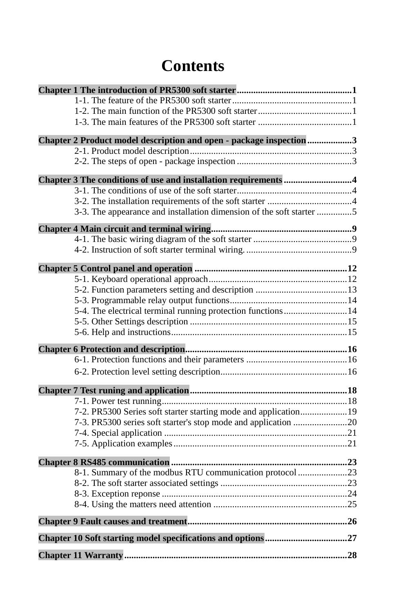# **Contents**

| Chapter 2 Product model description and open - package inspection 3  |  |
|----------------------------------------------------------------------|--|
|                                                                      |  |
|                                                                      |  |
| Chapter 3 The conditions of use and installation requirements 4      |  |
|                                                                      |  |
|                                                                      |  |
| 3-3. The appearance and installation dimension of the soft starter 5 |  |
|                                                                      |  |
|                                                                      |  |
|                                                                      |  |
|                                                                      |  |
|                                                                      |  |
|                                                                      |  |
|                                                                      |  |
| 5-4. The electrical terminal running protection functions 14         |  |
|                                                                      |  |
|                                                                      |  |
|                                                                      |  |
|                                                                      |  |
|                                                                      |  |
|                                                                      |  |
|                                                                      |  |
| 7-2. PR5300 Series soft starter starting mode and application 19     |  |
|                                                                      |  |
|                                                                      |  |
|                                                                      |  |
|                                                                      |  |
| 8-1. Summary of the modbus RTU communication protocol 23             |  |
|                                                                      |  |
|                                                                      |  |
|                                                                      |  |
|                                                                      |  |
|                                                                      |  |
|                                                                      |  |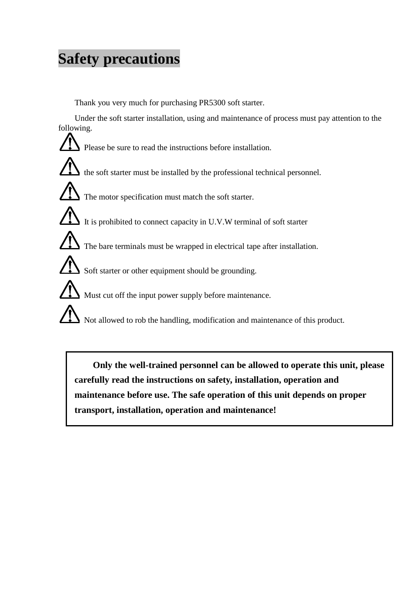# **Safety precautions**

Thank you very much for purchasing PR5300 soft starter.

Under the soft starter installation, using and maintenance of process must pay attention to the following.



**Only the well-trained personnel can be allowed to operate this unit, please carefully read the instructions on safety, installation, operation and maintenance before use. The safe operation of this unit depends on proper transport, installation, operation and maintenance!**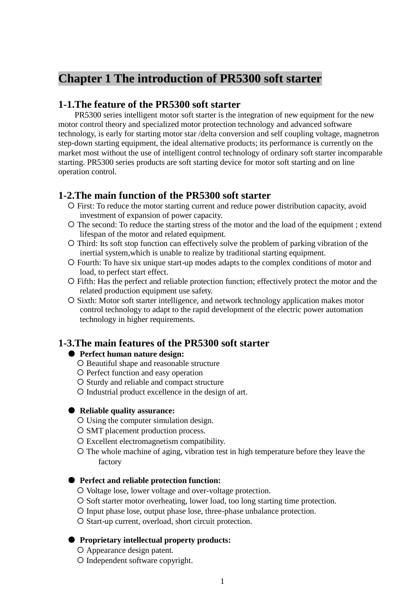# <span id="page-4-0"></span>**Chapter 1 The introduction of PR5300 soft starter**

# <span id="page-4-1"></span>**1-1.The feature of the PR5300 soft starter**

PR5300 series intelligent motor soft starter is the integration of new equipment for the new motor control theory and specialized motor protection technology and advanced software technology, is early for starting motor star /delta conversion and self coupling voltage, magnetron step-down starting equipment, the ideal alternative products; its performance is currently on the market most without the use of intelligent control technology of ordinary soft starter incomparable starting. PR5300 series products are soft starting device for motor soft starting and on line operation control.

# <span id="page-4-2"></span>**1-2.The main function of the PR5300 soft starter**

- First: To reduce the motor starting current and reduce power distribution capacity, avoid investment of expansion of power capacity.
- The second: To reduce the starting stress of the motor and the load of the equipment ; extend lifespan of the motor and related equipment.
- O Third: Its soft stop function can effectively solve the problem of parking vibration of the inertial system,which is unable to realize by traditional starting equipment.
- Fourth: To have six unique start-up modes adapts to the complex conditions of motor and load, to perfect start effect.
- Fifth: Has the perfect and reliable protection function; effectively protect the motor and the related production equipment use safety.
- Sixth: Motor soft starter intelligence, and network technology application makes motor control technology to adapt to the rapid development of the electric power automation technology in higher requirements.

# <span id="page-4-3"></span>**1-3.The main features of the PR5300 soft starter**

### ● **Perfect human nature design:**

- O Beautiful shape and reasonable structure
- O Perfect function and easy operation
- O Sturdy and reliable and compact structure
- Industrial product excellence in the design of art.

#### ● **Reliable quality assurance:**

- Using the computer simulation design.
- O SMT placement production process.
- Excellent electromagnetism compatibility.
- The whole machine of aging, vibration test in high temperature before they leave the factory

### ● **Perfect and reliable protection function:**

- O Voltage lose, lower voltage and over-voltage protection.
- O Soft starter motor overheating, lower load, too long starting time protection.
- Input phase lose, output phase lose, three-phase unbalance protection.
- O Start-up current, overload, short circuit protection.

#### ● **Proprietary intellectual property products:**

- Appearance design patent.
- Independent software copyright.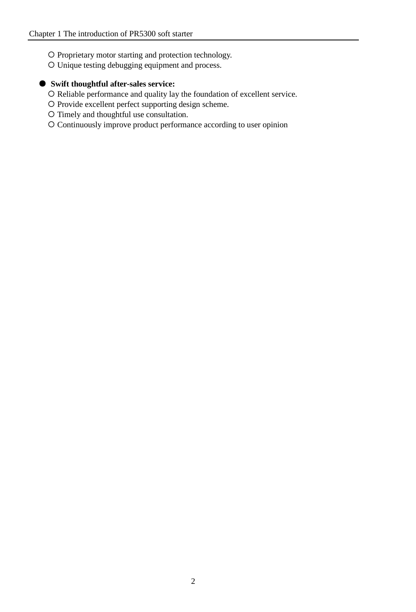- O Proprietary motor starting and protection technology.
- Unique testing debugging equipment and process.

# ● **Swift thoughtful after-sales service:**

- O Reliable performance and quality lay the foundation of excellent service.
- O Provide excellent perfect supporting design scheme.
- Timely and thoughtful use consultation.
- Continuously improve product performance according to user opinion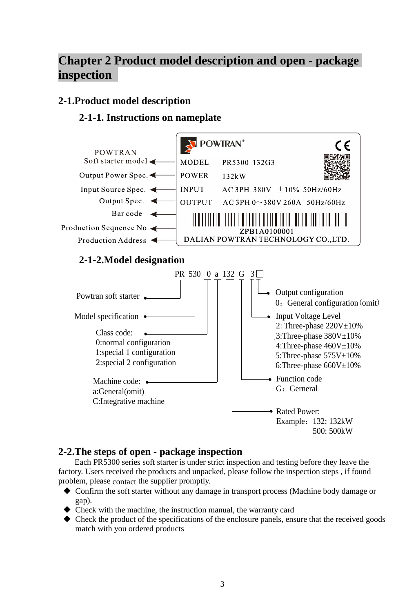# <span id="page-6-0"></span>**Chapter 2 Product model description and open - package inspection**

# <span id="page-6-1"></span>**2-1.Product model description**

# **2-1-1. Instructions on nameplate**



# <span id="page-6-2"></span>**2-2.The steps of open - package inspection**

Each PR5300 series soft starter is under strict inspection and testing before they leave the factory. Users received the products and unpacked, please follow the inspection steps , if found problem, please contact the supplier promptly.

- Confirm the soft starter without any damage in transport process (Machine body damage or gap).
- Check with the machine, the instruction manual, the warranty card
- $\blacklozenge$  Check the product of the specifications of the enclosure panels, ensure that the received goods match with you ordered products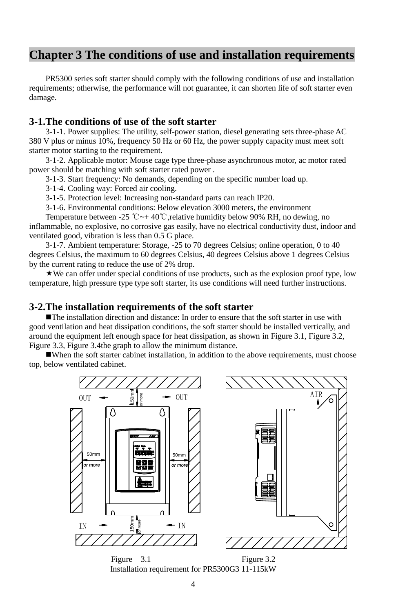# <span id="page-7-0"></span>**Chapter 3 The conditions of use and installation requirements**

PR5300 series soft starter should comply with the following conditions of use and installation requirements; otherwise, the performance will not guarantee, it can shorten life of soft starter even damage.

## <span id="page-7-1"></span>**3-1.The conditions of use of the soft starter**

3-1-1. Power supplies: The utility, self-power station, diesel generating sets three-phase AC 380 V plus or minus 10%, frequency 50 Hz or 60 Hz, the power supply capacity must meet soft starter motor starting to the requirement.

3-1-2. Applicable motor: Mouse cage type three-phase asynchronous motor, ac motor rated power should be matching with soft starter rated power .

3-1-3. Start frequency: No demands, depending on the specific number load up.

3-1-4. Cooling way: Forced air cooling.

3-1-5. Protection level: Increasing non-standard parts can reach IP20.

3-1-6. Environmental conditions: Below elevation 3000 meters, the environment

Temperature between -25 °C  $\sim$  + 40°C, relative humidity below 90% RH, no dewing, no inflammable, no explosive, no corrosive gas easily, have no electrical conductivity dust, indoor and ventilated good, vibration is less than 0.5 G place.

3-1-7. Ambient temperature: Storage, -25 to 70 degrees Celsius; online operation, 0 to 40 degrees Celsius, the maximum to 60 degrees Celsius, 40 degrees Celsius above 1 degrees Celsius by the current rating to reduce the use of 2% drop.

 $\star$  We can offer under special conditions of use products, such as the explosion proof type, low temperature, high pressure type type soft starter, its use conditions will need further instructions.

## <span id="page-7-2"></span>**3-2.The installation requirements of the soft starter**

The installation direction and distance: In order to ensure that the soft starter in use with good ventilation and heat dissipation conditions, the soft starter should be installed vertically, and around the equipment left enough space for heat dissipation, as shown in Figure 3.1, Figure 3.2, Figure 3.3, Figure 3.4the graph to allow the minimum distance.

When the soft starter cabinet installation, in addition to the above requirements, must choose top, below ventilated cabinet.



Installation requirement for PR5300G3 11-115kW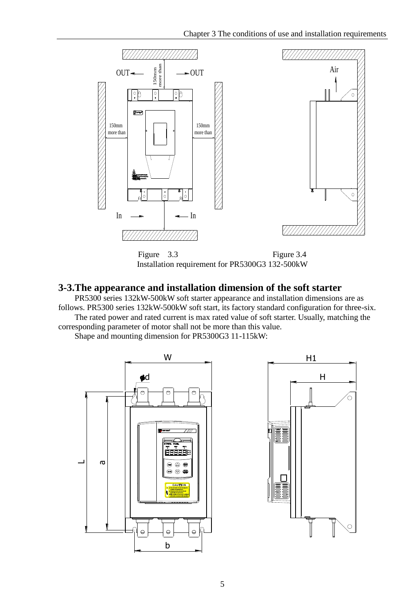

Installation requirement for PR5300G3 132-500kW

# <span id="page-8-0"></span>**3-3.The appearance and installation dimension of the soft starter**

PR5300 series 132kW-500kW soft starter appearance and installation dimensions are as follows. PR5300 series 132kW-500kW soft start, its factory standard configuration for three-six. The rated power and rated current is max rated value of soft starter. Usually, matching the corresponding parameter of motor shall not be more than this value.

Shape and mounting dimension for PR5300G3 11-115kW:

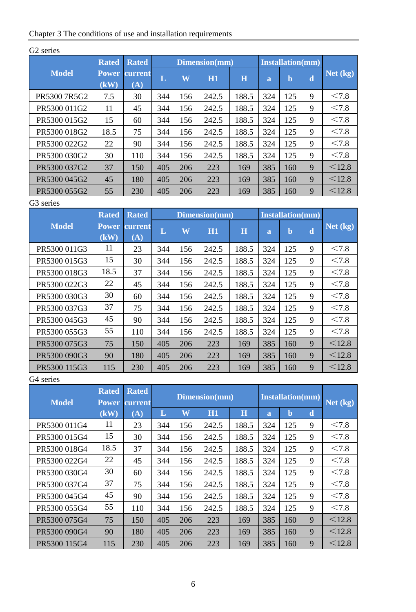|  | Chapter 3 The conditions of use and installation requirements |  |  |  |
|--|---------------------------------------------------------------|--|--|--|
|--|---------------------------------------------------------------|--|--|--|

|              | <b>Rated</b>         | <b>Rated</b>   |     |     | Dimension(mm) |       |                | <b>Installation(mm)</b> |   |          |
|--------------|----------------------|----------------|-----|-----|---------------|-------|----------------|-------------------------|---|----------|
| <b>Model</b> | <b>Power</b><br>(kW) | current<br>(A) | L   | W   | H1            | H     | $\overline{a}$ | b                       | d | Net (kg) |
| PR5300 7R5G2 | 7.5                  | 30             | 344 | 156 | 242.5         | 188.5 | 324            | 125                     | 9 | < 7.8    |
| PR5300 011G2 | 11                   | 45             | 344 | 156 | 242.5         | 188.5 | 324            | 125                     | 9 | < 7.8    |
| PR5300 015G2 | 15                   | 60             | 344 | 156 | 242.5         | 188.5 | 324            | 125                     | 9 | < 7.8    |
| PR5300 018G2 | 18.5                 | 75             | 344 | 156 | 242.5         | 188.5 | 324            | 125                     | 9 | < 7.8    |
| PR5300 022G2 | 22                   | 90             | 344 | 156 | 242.5         | 188.5 | 324            | 125                     | 9 | < 7.8    |
| PR5300 030G2 | 30                   | 110            | 344 | 156 | 242.5         | 188.5 | 324            | 125                     | 9 | < 7.8    |
| PR5300 037G2 | 37                   | 150            | 405 | 206 | 223           | 169   | 385            | 160                     | 9 | < 12.8   |
| PR5300 045G2 | 45                   | 180            | 405 | 206 | 223           | 169   | 385            | 160                     | 9 | < 12.8   |
| PR5300 055G2 | 55                   | 230            | 405 | 206 | 223           | 169   | 385            | 160                     | 9 | < 12.8   |

# G2 series

## G3 series

|              | <b>Rated</b>         | <b>Rated</b>   |     |     | Dimension(mm) |         | <b>Installation(mm)</b> |     |   |          |
|--------------|----------------------|----------------|-----|-----|---------------|---------|-------------------------|-----|---|----------|
| <b>Model</b> | <b>Power</b><br>(kW) | current<br>(A) | L   | W   | H1            | $\bf H$ | $\overline{a}$          | b   | d | Net (kg) |
| PR5300 011G3 | 11                   | 23             | 344 | 156 | 242.5         | 188.5   | 324                     | 125 | 9 | < 7.8    |
| PR5300 015G3 | 15                   | 30             | 344 | 156 | 242.5         | 188.5   | 324                     | 125 | 9 | < 7.8    |
| PR5300 018G3 | 18.5                 | 37             | 344 | 156 | 242.5         | 188.5   | 324                     | 125 | 9 | < 7.8    |
| PR5300 022G3 | 22                   | 45             | 344 | 156 | 242.5         | 188.5   | 324                     | 125 | 9 | < 7.8    |
| PR5300 030G3 | 30                   | 60             | 344 | 156 | 242.5         | 188.5   | 324                     | 125 | 9 | < 7.8    |
| PR5300 037G3 | 37                   | 75             | 344 | 156 | 242.5         | 188.5   | 324                     | 125 | 9 | < 7.8    |
| PR5300 045G3 | 45                   | 90             | 344 | 156 | 242.5         | 188.5   | 324                     | 125 | 9 | < 7.8    |
| PR5300 055G3 | 55                   | 110            | 344 | 156 | 242.5         | 188.5   | 324                     | 125 | 9 | < 7.8    |
| PR5300 075G3 | 75                   | 150            | 405 | 206 | 223           | 169     | 385                     | 160 | 9 | < 12.8   |
| PR5300 090G3 | 90                   | 180            | 405 | 206 | 223           | 169     | 385                     | 160 | 9 | < 12.8   |
| PR5300 115G3 | 115                  | 230            | 405 | 206 | 223           | 169     | 385                     | 160 | 9 | < 12.8   |

# G4 series

| <b>Model</b> | <b>Rated</b><br><b>Power</b> | <b>Rated</b><br>current | Dimension(mm)<br><b>Installation(mm)</b> |     |       |       |                |     |   |        |  |  |  | Net (kg) |
|--------------|------------------------------|-------------------------|------------------------------------------|-----|-------|-------|----------------|-----|---|--------|--|--|--|----------|
|              | (kW)                         | (A)                     | L                                        | W   | H1    | H     | $\overline{a}$ | b   | d |        |  |  |  |          |
| PR5300 011G4 | 11                           | 23                      | 344                                      | 156 | 242.5 | 188.5 | 324            | 125 | 9 | < 7.8  |  |  |  |          |
| PR5300 015G4 | 15                           | 30                      | 344                                      | 156 | 242.5 | 188.5 | 324            | 125 | 9 | < 7.8  |  |  |  |          |
| PR5300 018G4 | 18.5                         | 37                      | 344                                      | 156 | 242.5 | 188.5 | 324            | 125 | 9 | < 7.8  |  |  |  |          |
| PR5300 022G4 | 22                           | 45                      | 344                                      | 156 | 242.5 | 188.5 | 324            | 125 | 9 | < 7.8  |  |  |  |          |
| PR5300 030G4 | 30                           | 60                      | 344                                      | 156 | 242.5 | 188.5 | 324            | 125 | 9 | < 7.8  |  |  |  |          |
| PR5300 037G4 | 37                           | 75                      | 344                                      | 156 | 242.5 | 188.5 | 324            | 125 | 9 | < 7.8  |  |  |  |          |
| PR5300 045G4 | 45                           | 90                      | 344                                      | 156 | 242.5 | 188.5 | 324            | 125 | 9 | < 7.8  |  |  |  |          |
| PR5300 055G4 | 55                           | 110                     | 344                                      | 156 | 242.5 | 188.5 | 324            | 125 | 9 | < 7.8  |  |  |  |          |
| PR5300 075G4 | 75                           | 150                     | 405                                      | 206 | 223   | 169   | 385            | 160 | 9 | < 12.8 |  |  |  |          |
| PR5300 090G4 | 90                           | 180                     | 405                                      | 206 | 223   | 169   | 385            | 160 | 9 | < 12.8 |  |  |  |          |
| PR5300 115G4 | 115                          | 230                     | 405                                      | 206 | 223   | 169   | 385            | 160 | 9 | < 12.8 |  |  |  |          |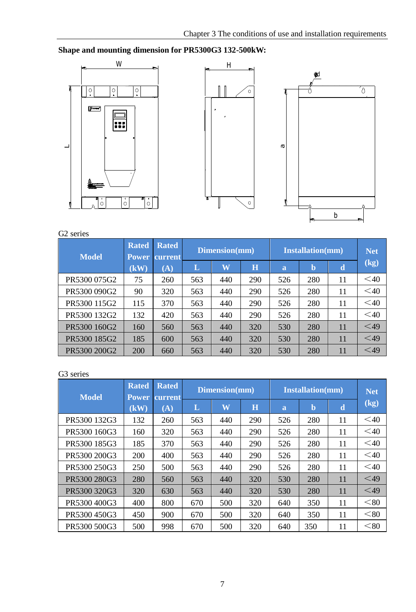**Shape and mounting dimension for PR5300G3 132-500kW:**







| 17. serie |
|-----------|
|           |

| <b>Model</b> | <b>Rated</b><br><b>Power</b> | <b>Rated</b><br><b>current</b> | Dimension(mm) |                         |         | <b>Installation(mm)</b> | <b>Net</b> |    |        |
|--------------|------------------------------|--------------------------------|---------------|-------------------------|---------|-------------------------|------------|----|--------|
|              | $\mathbf (k\mathbf W)$       | $({\bf A})$                    | L             | $\overline{\textbf{W}}$ | $\bf H$ | a                       | b          | d  | (kg)   |
| PR5300 075G2 | 75                           | 260                            | 563           | 440                     | 290     | 526                     | 280        | 11 | $<$ 40 |
| PR5300 090G2 | 90                           | 320                            | 563           | 440                     | 290     | 526                     | 280        | 11 | $<$ 40 |
| PR5300 115G2 | 115                          | 370                            | 563           | 440                     | 290     | 526                     | 280        | 11 | $<$ 40 |
| PR5300 132G2 | 132                          | 420                            | 563           | 440                     | 290     | 526                     | 280        | 11 | $<$ 40 |
| PR5300 160G2 | 160                          | 560                            | 563           | 440                     | 320     | 530                     | 280        | 11 | $<$ 49 |
| PR5300 185G2 | 185                          | 600                            | 563           | 440                     | 320     | 530                     | 280        | 11 | $<$ 49 |
| PR5300 200G2 | 200                          | 660                            | 563           | 440                     | 320     | 530                     | 280        | 11 | $<$ 49 |

## G3 series

| <b>Model</b> | <b>Rated</b><br><b>Power</b> | <b>Rated</b><br><b>current</b> |     | Dimension(mm)           |     | <b>Installation(mm)</b> | <b>Net</b> |    |           |
|--------------|------------------------------|--------------------------------|-----|-------------------------|-----|-------------------------|------------|----|-----------|
|              | (kW)                         | $({\bf A})$                    | L   | $\overline{\textbf{W}}$ | H   | a                       | b          | d  | (kg)      |
| PR5300 132G3 | 132                          | 260                            | 563 | 440                     | 290 | 526                     | 280        | 11 | $<$ 40    |
| PR5300 160G3 | 160                          | 320                            | 563 | 440                     | 290 | 526                     | 280        | 11 | $<$ 40    |
| PR5300 185G3 | 185                          | 370                            | 563 | 440                     | 290 | 526                     | 280        | 11 | $<$ 40    |
| PR5300 200G3 | 200                          | 400                            | 563 | 440                     | 290 | 526                     | 280        | 11 | $<$ 40    |
| PR5300 250G3 | 250                          | 500                            | 563 | 440                     | 290 | 526                     | 280        | 11 | $<$ 40    |
| PR5300 280G3 | 280                          | 560                            | 563 | 440                     | 320 | 530                     | 280        | 11 | $<$ 49    |
| PR5300 320G3 | 320                          | 630                            | 563 | 440                     | 320 | 530                     | 280        | 11 | $\leq$ 49 |
| PR5300 400G3 | 400                          | 800                            | 670 | 500                     | 320 | 640                     | 350        | 11 | < 80      |
| PR5300450G3  | 450                          | 900                            | 670 | 500                     | 320 | 640                     | 350        | 11 | < 80      |
| PR5300 500G3 | 500                          | 998                            | 670 | 500                     | 320 | 640                     | 350        | 11 | < 80      |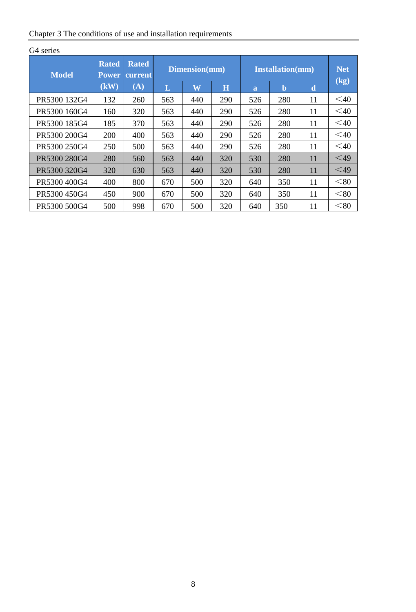| Chapter 3 The conditions of use and installation requirements |  |  |
|---------------------------------------------------------------|--|--|
|                                                               |  |  |

| <b>Model</b>  | <b>Rated</b><br>Power. | <b>Rated</b><br>current |     | Dimension(mm) |     |     | <b>Installation(mm)</b> |    |           |  |
|---------------|------------------------|-------------------------|-----|---------------|-----|-----|-------------------------|----|-----------|--|
|               | (kW)                   | (A)                     | L   | W             | H   | a   | $\mathbf b$             | d  | (kg)      |  |
| PR5300 132G4  | 132                    | 260                     | 563 | 440           | 290 | 526 | 280                     | 11 | $<$ 40    |  |
| PR 5300 160G4 | 160                    | 320                     | 563 | 440           | 290 | 526 | 280                     | 11 | $\leq 40$ |  |
| PR5300 185G4  | 185                    | 370                     | 563 | 440           | 290 | 526 | 280                     | 11 | $<$ 40    |  |
| PR5300 200G4  | 200                    | 400                     | 563 | 440           | 290 | 526 | 280                     | 11 | $<$ 40    |  |
| PR 5300 250G4 | 250                    | 500                     | 563 | 440           | 290 | 526 | 280                     | 11 | $\leq 40$ |  |
| PR 5300 280G4 | 280                    | 560                     | 563 | 440           | 320 | 530 | 280                     | 11 | $\leq 49$ |  |
| PR 5300 320G4 | 320                    | 630                     | 563 | 440           | 320 | 530 | 280                     | 11 | $<$ 49    |  |
| PR 5300 400G4 | 400                    | 800                     | 670 | 500           | 320 | 640 | 350                     | 11 | < 80      |  |
| PR5300 450G4  | 450                    | 900                     | 670 | 500           | 320 | 640 | 350                     | 11 | < 80      |  |
| PR 5300 500G4 | 500                    | 998                     | 670 | 500           | 320 | 640 | 350                     | 11 | < 80      |  |

# G4 series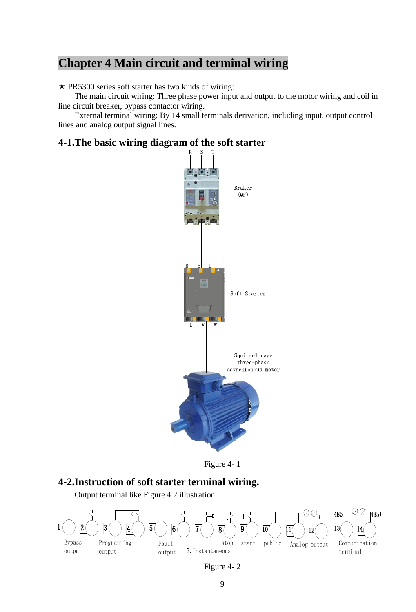# <span id="page-12-0"></span>**Chapter 4 Main circuit and terminal wiring**

 $\star$  PR5300 series soft starter has two kinds of wiring:

The main circuit wiring: Three phase power input and output to the motor wiring and coil in line circuit breaker, bypass contactor wiring.

External terminal wiring: By 14 small terminals derivation, including input, output control lines and analog output signal lines.

# <span id="page-12-1"></span>**4-1.The basic wiring diagram of the soft starter**





## <span id="page-12-2"></span>**4-2.Instruction of soft starter terminal wiring.**

Output terminal like Figure 4.2 illustration:



Figure 4- 2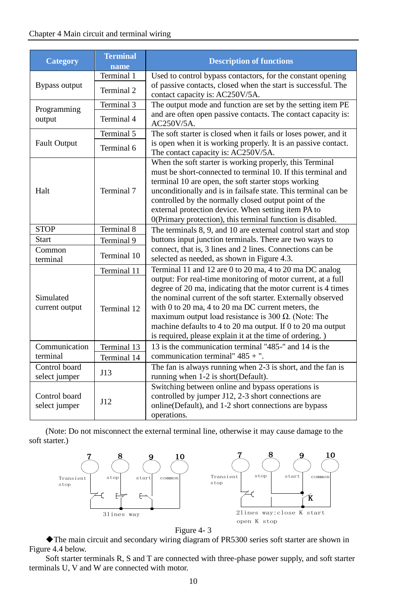#### Chapter 4 Main circuit and terminal wiring

| <b>Category</b>                       | <b>Terminal</b><br>name | <b>Description of functions</b>                                                                                                                                                                                                                                                                                                                                                                                                                       |
|---------------------------------------|-------------------------|-------------------------------------------------------------------------------------------------------------------------------------------------------------------------------------------------------------------------------------------------------------------------------------------------------------------------------------------------------------------------------------------------------------------------------------------------------|
|                                       | Terminal 1              | Used to control bypass contactors, for the constant opening                                                                                                                                                                                                                                                                                                                                                                                           |
| Bypass output                         | Terminal 2              | of passive contacts, closed when the start is successful. The<br>contact capacity is: AC250V/5A.                                                                                                                                                                                                                                                                                                                                                      |
| Programming                           | Terminal 3              | The output mode and function are set by the setting item PE                                                                                                                                                                                                                                                                                                                                                                                           |
| output                                | Terminal 4              | and are often open passive contacts. The contact capacity is:<br>AC250V/5A.                                                                                                                                                                                                                                                                                                                                                                           |
|                                       | Terminal 5              | The soft starter is closed when it fails or loses power, and it                                                                                                                                                                                                                                                                                                                                                                                       |
| <b>Fault Output</b>                   | Terminal 6              | is open when it is working properly. It is an passive contact.<br>The contact capacity is: AC250V/5A.                                                                                                                                                                                                                                                                                                                                                 |
| Halt                                  | Terminal 7              | When the soft starter is working properly, this Terminal<br>must be short-connected to terminal 10. If this terminal and<br>terminal 10 are open, the soft starter stops working<br>unconditionally and is in failsafe state. This terminal can be<br>controlled by the normally closed output point of the<br>external protection device. When setting item PA to<br>0(Primary protection), this terminal function is disabled.                      |
| <b>STOP</b>                           | Terminal 8              | The terminals 8, 9, and 10 are external control start and stop                                                                                                                                                                                                                                                                                                                                                                                        |
| <b>Start</b>                          | Terminal 9              | buttons input junction terminals. There are two ways to                                                                                                                                                                                                                                                                                                                                                                                               |
| Common<br>terminal                    | Terminal 10             | connect, that is, 3 lines and 2 lines. Connections can be<br>selected as needed, as shown in Figure 4.3.                                                                                                                                                                                                                                                                                                                                              |
|                                       | Terminal 11             | Terminal 11 and 12 are 0 to 20 ma, 4 to 20 ma DC analog                                                                                                                                                                                                                                                                                                                                                                                               |
| Simulated<br>current output           | Terminal 12             | output: For real-time monitoring of motor current, at a full<br>degree of 20 ma, indicating that the motor current is 4 times<br>the nominal current of the soft starter. Externally observed<br>with $0$ to $20$ ma, $4$ to $20$ ma DC current meters, the<br>maximum output load resistance is 300 $\Omega$ . (Note: The<br>machine defaults to 4 to 20 ma output. If 0 to 20 ma output<br>is required, please explain it at the time of ordering.) |
| Communication                         | Terminal 13             | 13 is the communication terminal "485-" and 14 is the                                                                                                                                                                                                                                                                                                                                                                                                 |
| terminal                              | Terminal 14             | communication terminal" $485 +$ ".                                                                                                                                                                                                                                                                                                                                                                                                                    |
| Control board<br>select jumper        | J13                     | The fan is always running when 2-3 is short, and the fan is<br>running when 1-2 is short(Default).                                                                                                                                                                                                                                                                                                                                                    |
| Control board<br>J12<br>select jumper |                         | Switching between online and bypass operations is<br>controlled by jumper J12, 2-3 short connections are<br>online (Default), and 1-2 short connections are bypass<br>operations.                                                                                                                                                                                                                                                                     |

(Note: Do not misconnect the external terminal line, otherwise it may cause damage to the soft starter.)





The main circuit and secondary wiring diagram of PR5300 series soft starter are shown in Figure 4.4 below.

Soft starter terminals R, S and T are connected with three-phase power supply, and soft starter terminals U, V and W are connected with motor.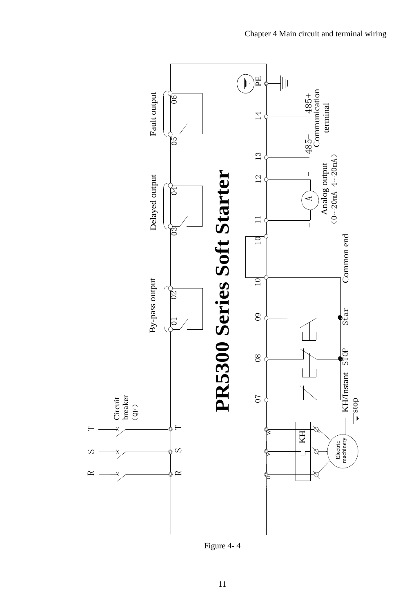

Figure 4- 4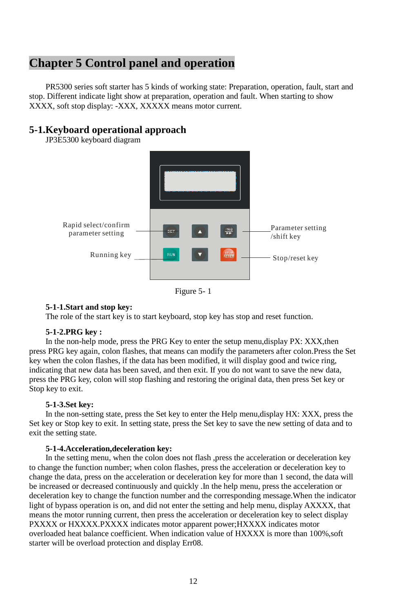# <span id="page-15-0"></span>**Chapter 5 Control panel and operation**

PR5300 series soft starter has 5 kinds of working state: Preparation, operation, fault, start and stop. Different indicate light show at preparation, operation and fault. When starting to show XXXX, soft stop display: -XXX, XXXXX means motor current.

# <span id="page-15-1"></span>**5-1.Keyboard operational approach**

JP3E5300 keyboard diagram



Figure 5- 1

#### **5-1-1.Start and stop key:**

The role of the start key is to start keyboard, stop key has stop and reset function.

#### **5-1-2.PRG key :**

In the non-help mode, press the PRG Key to enter the setup menu,display PX: XXX, then press PRG key again, colon flashes, that means can modify the parameters after colon.Press the Set key when the colon flashes, if the data has been modified, it will display good and twice ring, indicating that new data has been saved, and then exit. If you do not want to save the new data, press the PRG key, colon will stop flashing and restoring the original data, then press Set key or Stop key to exit.

#### **5-1-3.Set key:**

In the non-setting state, press the Set key to enter the Help menu,display HX: XXX, press the Set key or Stop key to exit. In setting state, press the Set key to save the new setting of data and to exit the setting state.

#### **5-1-4.Acceleration,deceleration key:**

In the setting menu, when the colon does not flash ,press the acceleration or deceleration key to change the function number; when colon flashes, press the acceleration or deceleration key to change the data, press on the acceleration or deceleration key for more than 1 second, the data will be increased or decreased continuously and quickly .In the help menu, press the acceleration or deceleration key to change the function number and the corresponding message.When the indicator light of bypass operation is on, and did not enter the setting and help menu, display AXXXX, that means the motor running current, then press the acceleration or deceleration key to select display PXXXX or HXXXX.PXXXX indicates motor apparent power;HXXXX indicates motor overloaded heat balance coefficient. When indication value of HXXXX is more than 100%,soft starter will be overload protection and display Err08.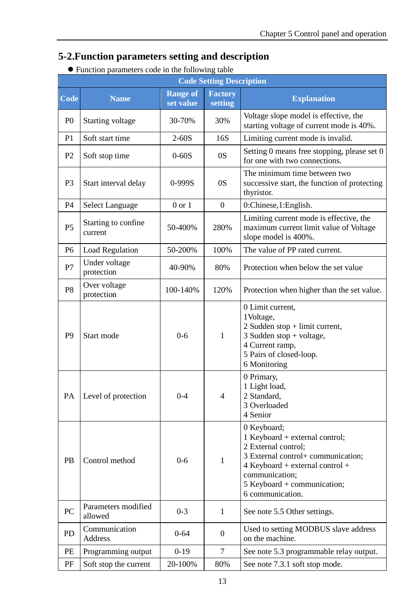# <span id="page-16-0"></span>**5-2.Function parameters setting and description**

|                |                                |                              | <b>Code Setting Description</b> |                                                                                                                                                                                                                      |
|----------------|--------------------------------|------------------------------|---------------------------------|----------------------------------------------------------------------------------------------------------------------------------------------------------------------------------------------------------------------|
| Code           | <b>Name</b>                    | <b>Range of</b><br>set value | <b>Factory</b><br>setting       | <b>Explanation</b>                                                                                                                                                                                                   |
| P <sub>0</sub> | Starting voltage               | 30-70%                       | 30%                             | Voltage slope model is effective, the<br>starting voltage of current mode is 40%.                                                                                                                                    |
| P <sub>1</sub> | Soft start time                | $2 - 60S$                    | 16S                             | Limiting current mode is invalid.                                                                                                                                                                                    |
| P <sub>2</sub> | Soft stop time                 | $0 - 60S$                    | 0S                              | Setting 0 means free stopping, please set 0<br>for one with two connections.                                                                                                                                         |
| P <sub>3</sub> | Start interval delay           | $0 - 999S$                   | 0S                              | The minimum time between two<br>successive start, the function of protecting<br>thyristor.                                                                                                                           |
| P4             | Select Language                | $0 \text{ or } 1$            | $\Omega$                        | 0:Chinese, 1:English.                                                                                                                                                                                                |
| P <sub>5</sub> | Starting to confine<br>current | 50-400%                      | 280%                            | Limiting current mode is effective, the<br>maximum current limit value of Voltage<br>slope model is 400%.                                                                                                            |
| P6             | <b>Load Regulation</b>         | 50-200%                      | 100%                            | The value of PP rated current.                                                                                                                                                                                       |
| P7             | Under voltage<br>protection    | 40-90%                       | 80%                             | Protection when below the set value                                                                                                                                                                                  |
| P <sub>8</sub> | Over voltage<br>protection     | 100-140%                     | 120%                            | Protection when higher than the set value.                                                                                                                                                                           |
| P <sub>9</sub> | Start mode                     | $0 - 6$                      | 1                               | 0 Limit current,<br>1 Voltage,<br>2 Sudden stop + limit current,<br>3 Sudden stop + voltage,<br>4 Current ramp,<br>5 Pairs of closed-loop.<br>6 Monitoring                                                           |
| PA             | Level of protection            | $0 - 4$                      | $\overline{4}$                  | 0 Primary,<br>1 Light load,<br>2 Standard.<br>3 Overloaded<br>4 Senior                                                                                                                                               |
| <b>PB</b>      | Control method                 | $0 - 6$                      | $\mathbf{1}$                    | 0 Keyboard;<br>1 Keyboard + external control;<br>2 External control;<br>3 External control+ communication;<br>$4$ Keyboard + external control +<br>communication:<br>5 Keyboard + communication;<br>6 communication. |
| PC             | Parameters modified<br>allowed | $0-3$                        | $\mathbf{1}$                    | See note 5.5 Other settings.                                                                                                                                                                                         |
| <b>PD</b>      | Communication<br>Address       | $0 - 64$                     | $\mathbf{0}$                    | Used to setting MODBUS slave address<br>on the machine.                                                                                                                                                              |
| PE             | Programming output             | $0-19$                       | 7                               | See note 5.3 programmable relay output.                                                                                                                                                                              |
| PF             | Soft stop the current          | 20-100%                      | 80%                             | See note 7.3.1 soft stop mode.                                                                                                                                                                                       |

## Function parameters code in the following table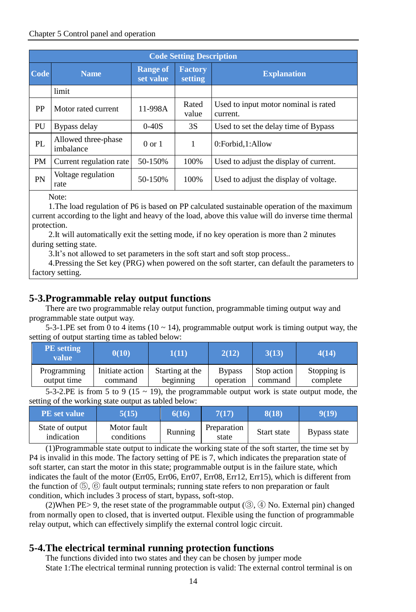#### Chapter 5 Control panel and operation

|           | <b>Code Setting Description</b>  |                              |                           |                                                  |  |  |  |
|-----------|----------------------------------|------------------------------|---------------------------|--------------------------------------------------|--|--|--|
| Code      | <b>Name</b>                      | <b>Range of</b><br>set value | <b>Factory</b><br>setting | <b>Explanation</b>                               |  |  |  |
|           | limit                            |                              |                           |                                                  |  |  |  |
| PP        | Motor rated current              | 11-998A                      | Rated<br>value            | Used to input motor nominal is rated<br>current. |  |  |  |
| PU        | Bypass delay                     | 3S<br>$0 - 40S$              |                           | Used to set the delay time of Bypass             |  |  |  |
| PL        | Allowed three-phase<br>imbalance | $0 \text{ or } 1$            | 1                         | 0:Forbid.1:Allow                                 |  |  |  |
| <b>PM</b> | Current regulation rate          | 50-150%                      | 100\%                     | Used to adjust the display of current.           |  |  |  |
| PN        | Voltage regulation<br>rate       | 50-150%                      | 100\%                     | Used to adjust the display of voltage.           |  |  |  |
|           |                                  |                              |                           |                                                  |  |  |  |

Note:

1.The load regulation of P6 is based on PP calculated sustainable operation of the maximum current according to the light and heavy of the load, above this value will do inverse time thermal protection.

2.It will automatically exit the setting mode, if no key operation is more than 2 minutes during setting state.

3.It's not allowed to set parameters in the soft start and soft stop process..

4.Pressing the Set key (PRG) when powered on the soft starter, can default the parameters to factory setting.

# <span id="page-17-0"></span>**5-3.Programmable relay output functions**

There are two programmable relay output function, programmable timing output way and programmable state output way.

5-3-1.PE set from 0 to 4 items (10  $\sim$  14), programmable output work is timing output way, the setting of output starting time as tabled below:

| <b>PE</b> setting<br>value | 0(10)           | 1(11)           | 2(12)         | 3(13)       | 4(14)       |
|----------------------------|-----------------|-----------------|---------------|-------------|-------------|
| Programming                | Initiate action | Starting at the | <b>Bypass</b> | Stop action | Stopping is |
| output time                | command         | beginning       | operation     | command     | complete    |

5-3-2.PE is from 5 to 9 (15  $\sim$  19), the programmable output work is state output mode, the setting of the working state output as tabled below:

| <b>PE</b> set value           | 5(15)                     | 7(17)<br>6(16) |                      | 8(18)       | 9(19)        |
|-------------------------------|---------------------------|----------------|----------------------|-------------|--------------|
| State of output<br>indication | Motor fault<br>conditions | Running        | Preparation<br>state | Start state | Bypass state |

(1)Programmable state output to indicate the working state of the soft starter, the time set by P4 is invalid in this mode. The factory setting of PE is 7, which indicates the preparation state of soft starter, can start the motor in this state; programmable output is in the failure state, which indicates the fault of the motor (Err05, Err06, Err07, Err08, Err12, Err15), which is different from the function of  $(\overline{5})$ ,  $(\overline{6})$  fault output terminals; running state refers to non preparation or fault condition, which includes 3 process of start, bypass, soft-stop.

(2)When PE $> 9$ , the reset state of the programmable output (3),  $\overline{(4)}$  No. External pin) changed from normally open to closed, that is inverted output. Flexible using the function of programmable relay output, which can effectively simplify the external control logic circuit.

## <span id="page-17-1"></span>**5-4.The electrical terminal running protection functions**

The functions divided into two states and they can be chosen by jumper mode State 1:The electrical terminal running protection is valid: The external control terminal is on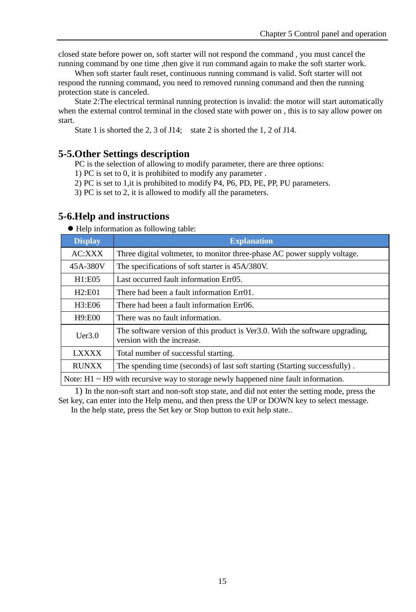closed state before power on, soft starter will not respond the command , you must cancel the running command by one time ,then give it run command again to make the soft starter work.

When soft starter fault reset, continuous running command is valid. Soft starter will not respond the running command, you need to removed running command and then the running protection state is canceled.

State 2:The electrical terminal running protection is invalid: the motor will start automatically when the external control terminal in the closed state with power on, this is to say allow power on start.

State 1 is shorted the 2, 3 of J14; state 2 is shorted the 1, 2 of J14.

#### <span id="page-18-0"></span>**5-5.Other Settings description**

PC is the selection of allowing to modify parameter, there are three options:

1) PC is set to 0, it is prohibited to modify any parameter .

2) PC is set to 1,it is prohibited to modify P4, P6, PD, PE, PP, PU parameters.

3) PC is set to 2, it is allowed to modify all the parameters.

#### <span id="page-18-1"></span>**5-6.Help and instructions**

Help information as following table:

| <b>Display</b>                                                                             | <b>Explanation</b>                                                                                         |  |  |  |
|--------------------------------------------------------------------------------------------|------------------------------------------------------------------------------------------------------------|--|--|--|
| AC:XXX                                                                                     | Three digital voltmeter, to monitor three-phase AC power supply voltage.                                   |  |  |  |
| 45A-380V                                                                                   | The specifications of soft starter is 45A/380V.                                                            |  |  |  |
| H1:EO5                                                                                     | Last occurred fault information Err05.                                                                     |  |  |  |
| H2:EO1<br>There had been a fault information Err01.                                        |                                                                                                            |  |  |  |
| H3:E06                                                                                     | There had been a fault information Err06.                                                                  |  |  |  |
| H9:E00                                                                                     | There was no fault information.                                                                            |  |  |  |
| Uer3.0                                                                                     | The software version of this product is Ver3.0. With the software upgrading,<br>version with the increase. |  |  |  |
| <b>LXXXX</b><br>Total number of successful starting.                                       |                                                                                                            |  |  |  |
| <b>RUNXX</b><br>The spending time (seconds) of last soft starting (Starting successfully). |                                                                                                            |  |  |  |
|                                                                                            | Note: $H1 \sim H9$ with recursive way to storage newly happened nine fault information.                    |  |  |  |

1) In the non-soft start and non-soft stop state, and did not enter the setting mode, press the Set key, can enter into the Help menu, and then press the UP or DOWN key to select message. In the help state, press the Set key or Stop button to exit help state..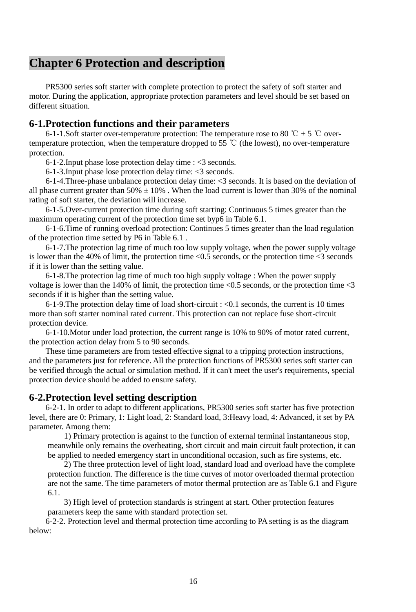# <span id="page-19-0"></span>**Chapter 6 Protection and description**

PR5300 series soft starter with complete protection to protect the safety of soft starter and motor. During the application, appropriate protection parameters and level should be set based on different situation.

## <span id="page-19-1"></span>**6-1.Protection functions and their parameters**

6-1-1.Soft starter over-temperature protection: The temperature rose to 80 ℃  $\pm$  5 ℃ overtemperature protection, when the temperature dropped to 55 ℃ (the lowest), no over-temperature protection.

6-1-2.Input phase lose protection delay time : <3 seconds.

6-1-3.Input phase lose protection delay time: <3 seconds.

6-1-4.Three-phase unbalance protection delay time: <3 seconds. It is based on the deviation of all phase current greater than  $50\% \pm 10\%$ . When the load current is lower than 30% of the nominal rating of soft starter, the deviation will increase.

6-1-5.Over-current protection time during soft starting: Continuous 5 times greater than the maximum operating current of the protection time set byp6 in Table 6.1.

6-1-6.Time of running overload protection: Continues 5 times greater than the load regulation of the protection time setted by P6 in Table 6.1 .

6-1-7.The protection lag time of much too low supply voltage, when the power supply voltage is lower than the 40% of limit, the protection time  $\leq 0.5$  seconds, or the protection time  $\leq 3$  seconds if it is lower than the setting value.

6-1-8.The protection lag time of much too high supply voltage : When the power supply voltage is lower than the 140% of limit, the protection time  $\langle 0.5 \rangle$  seconds, or the protection time  $\langle 3 \rangle$ seconds if it is higher than the setting value.

6-1-9. The protection delay time of load short-circuit :  $\langle 0.1 \rangle$  seconds, the current is 10 times more than soft starter nominal rated current. This protection can not replace fuse short-circuit protection device.

6-1-10.Motor under load protection, the current range is 10% to 90% of motor rated current, the protection action delay from 5 to 90 seconds.

These time parameters are from tested effective signal to a tripping protection instructions, and the parameters just for reference. All the protection functions of PR5300 series soft starter can be verified through the actual or simulation method. If it can't meet the user's requirements, special protection device should be added to ensure safety.

#### <span id="page-19-2"></span>**6-2.Protection level setting description**

6-2-1. In order to adapt to different applications, PR5300 series soft starter has five protection level, there are 0: Primary, 1: Light load, 2: Standard load, 3:Heavy load, 4: Advanced, it set by PA parameter. Among them:

1) Primary protection is against to the function of external terminal instantaneous stop, meanwhile only remains the overheating, short circuit and main circuit fault protection, it can be applied to needed emergency start in unconditional occasion, such as fire systems, etc.

2) The three protection level of light load, standard load and overload have the complete protection function. The difference is the time curves of motor overloaded thermal protection are not the same. The time parameters of motor thermal protection are as Table 6.1 and Figure 6.1.

3) High level of protection standards is stringent at start. Other protection features parameters keep the same with standard protection set.

6-2-2. Protection level and thermal protection time according to PA setting is as the diagram below: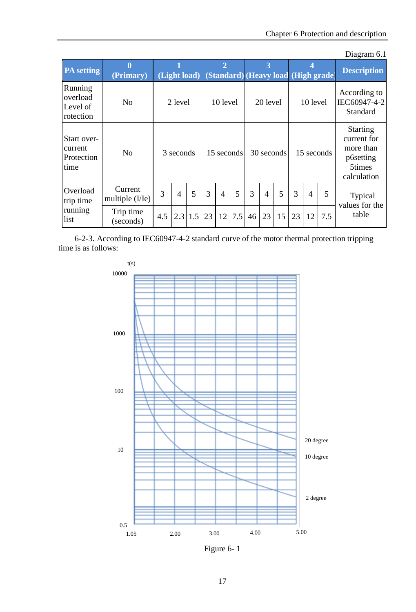|                                              |                              |     |                |     |    |                |            |    |                |            |    |                |                                     | Diagram 6.1                                                                       |
|----------------------------------------------|------------------------------|-----|----------------|-----|----|----------------|------------|----|----------------|------------|----|----------------|-------------------------------------|-----------------------------------------------------------------------------------|
| <b>PA</b> setting                            | $\bf{0}$<br>(Primary)        |     | (Light load)   |     |    | $\overline{2}$ |            |    | 3              |            |    |                | (Standard) (Heavy load (High grade) | <b>Description</b>                                                                |
| Running<br>overload<br>Level of<br>rotection | No                           |     | 2 level        |     |    | 10 level       |            |    | 20 level       |            |    | 10 level       |                                     | According to<br>IEC60947-4-2<br>Standard                                          |
| Start over-<br>current<br>Protection<br>time | No                           |     | 3 seconds      |     |    |                | 15 seconds |    |                | 30 seconds |    | 15 seconds     |                                     | <b>Starting</b><br>current for<br>more than<br>p6setting<br>5times<br>calculation |
| Overload<br>trip time                        | Current<br>multiple $(I/Ie)$ | 3   | $\overline{4}$ | 5   | 3  | $\overline{4}$ | 5          | 3  | $\overline{4}$ | 5          | 3  | $\overline{4}$ | 5                                   | Typical                                                                           |
| running<br>list                              | Trip time<br>(seconds)       | 4.5 | 2.3            | 1.5 | 23 | 12             | 7.5        | 46 | 23             | 15         | 23 | 12             | 7.5                                 | values for the<br>table                                                           |

6-2-3. According to IEC60947-4-2 standard curve of the motor thermal protection tripping time is as follows:



Figure 6- 1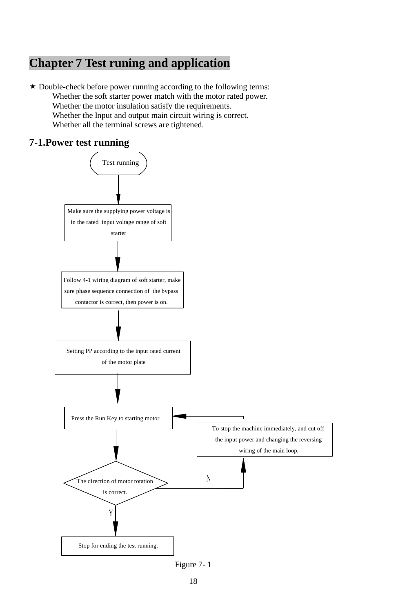# <span id="page-21-0"></span>**Chapter 7 Test runing and application**

 $\star$  Double-check before power running according to the following terms: Whether the soft starter power match with the motor rated power. Whether the motor insulation satisfy the requirements. Whether the Input and output main circuit wiring is correct. Whether all the terminal screws are tightened.

# <span id="page-21-1"></span>**7-1.Power test running**



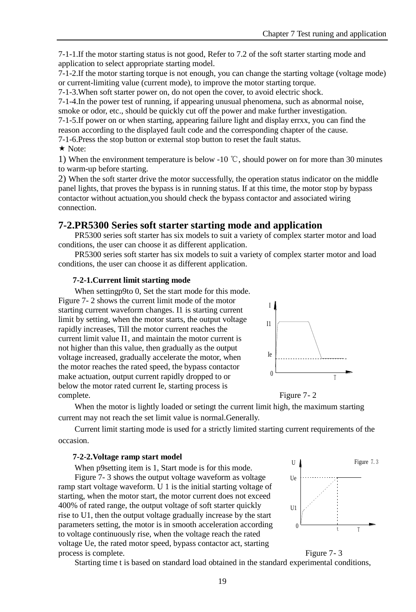7-1-1.If the motor starting status is not good, Refer to 7.2 of the soft starter starting mode and application to select appropriate starting model.

 $7-1-2$ . If the motor starting torque is not enough, you can change the starting voltage (voltage mode) or current-limiting value (current mode), to improve the motor starting torque.

7-1-3.When soft starter power on, do not open the cover, to avoid electric shock.

7-1-4.In the power test of running, if appearing unusual phenomena, such as abnormal noise, smoke or odor, etc., should be quickly cut off the power and make further investigation.

7-1-5.If power on or when starting, appearing failure light and display errxx, you can find the reason according to the displayed fault code and the corresponding chapter of the cause.

7-1-6.Press the stop button or external stop button to reset the fault status.

 $\star$  Note:

1) When the environment temperature is below -10 ℃, should power on for more than 30 minutes to warm-up before starting.

2) When the soft starter drive the motor successfully, the operation status indicator on the middle panel lights, that proves the bypass is in running status. If at this time, the motor stop by bypass contactor without actuation,you should check the bypass contactor and associated wiring connection.

# <span id="page-22-0"></span>**7-2.PR5300 Series soft starter starting mode and application**

PR5300 series soft starter has six models to suit a variety of complex starter motor and load conditions, the user can choose it as different application.

PR5300 series soft starter has six models to suit a variety of complex starter motor and load conditions, the user can choose it as different application.

#### **7-2-1.Current limit starting mode**

When settingp9to 0, Set the start mode for this mode. Figure 7- 2 shows the current limit mode of the motor starting current waveform changes. I1 is starting current limit by setting, when the motor starts, the output voltage rapidly increases, Till the motor current reaches the current limit value I1, and maintain the motor current is not higher than this value, then gradually as the output voltage increased, gradually accelerate the motor, when the motor reaches the rated speed, the bypass contactor make actuation, output current rapidly dropped to or below the motor rated current Ie, starting process is complete. Figure 7- 2





When the motor is lightly loaded or setingt the current limit high, the maximum starting current may not reach the set limit value is normal.Generally.

Current limit starting mode is used for a strictly limited starting current requirements of the occasion.

#### **7-2-2.Voltage ramp start model**

When p9setting item is 1, Start mode is for this mode. Figure 7- 3 shows the output voltage waveform as voltage ramp start voltage waveform. U 1 is the initial starting voltage of starting, when the motor start, the motor current does not exceed 400% of rated range, the output voltage of soft starter quickly rise to U1, then the output voltage gradually increase by the start parameters setting, the motor is in smooth acceleration according to voltage continuously rise, when the voltage reach the rated voltage Ue, the rated motor speed, bypass contactor act, starting process is complete. Figure 7- 3



Starting time t is based on standard load obtained in the standard experimental conditions,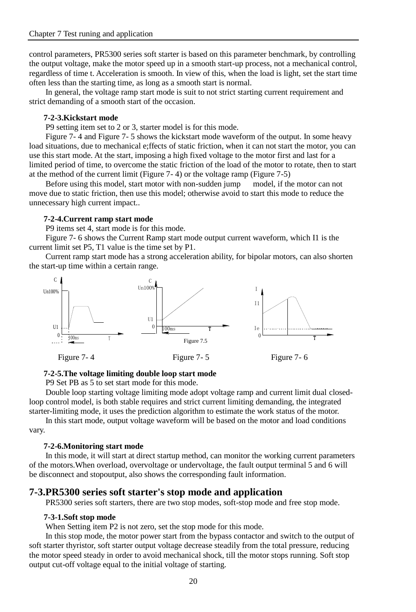control parameters, PR5300 series soft starter is based on this parameter benchmark, by controlling the output voltage, make the motor speed up in a smooth start-up process, not a mechanical control, regardless of time t. Acceleration is smooth. In view of this, when the load is light, set the start time often less than the starting time, as long as a smooth start is normal.

In general, the voltage ramp start mode is suit to not strict starting current requirement and strict demanding of a smooth start of the occasion.

#### **7-2-3.Kickstart mode**

P9 setting item set to 2 or 3, starter model is for this mode.

Figure 7- 4 and Figure 7- 5 shows the kickstart mode waveform of the output. In some heavy load situations, due to mechanical e;ffects of static friction, when it can not start the motor, you can use this start mode. At the start, imposing a high fixed voltage to the motor first and last for a limited period of time, to overcome the static friction of the load of the motor to rotate, then to start at the method of the current limit (Figure 7- 4) or the voltage ramp (Figure 7-5)

Before using this model, start motor with non-sudden jump model, if the motor can not move due to static friction, then use this model; otherwise avoid to start this mode to reduce the unnecessary high current impact..

#### **7-2-4.Current ramp start mode**

P9 items set 4, start mode is for this mode.

Figure 7- 6 shows the Current Ramp start mode output current waveform, which I1 is the current limit set P5, T1 value is the time set by P1.

Current ramp start mode has a strong acceleration ability, for bipolar motors, can also shorten the start-up time within a certain range.



#### **7-2-5.The voltage limiting double loop start mode**

P9 Set PB as 5 to set start mode for this mode.

Double loop starting voltage limiting mode adopt voltage ramp and current limit dual closedloop control model, is both stable requires and strict current limiting demanding, the integrated starter-limiting mode, it uses the prediction algorithm to estimate the work status of the motor.

In this start mode, output voltage waveform will be based on the motor and load conditions vary.

#### **7-2-6.Monitoring start mode**

In this mode, it will start at direct startup method, can monitor the working current parameters of the motors.When overload, overvoltage or undervoltage, the fault output terminal 5 and 6 will be disconnect and stopoutput, also shows the corresponding fault information.

#### <span id="page-23-0"></span>**7-3.PR5300 series soft starter's stop mode and application**

PR5300 series soft starters, there are two stop modes, soft-stop mode and free stop mode.

#### **7-3-1.Soft stop mode**

When Setting item P2 is not zero, set the stop mode for this mode.

In this stop mode, the motor power start from the bypass contactor and switch to the output of soft starter thyristor, soft starter output voltage decrease steadily from the total pressure, reducing the motor speed steady in order to avoid mechanical shock, till the motor stops running. Soft stop output cut-off voltage equal to the initial voltage of starting.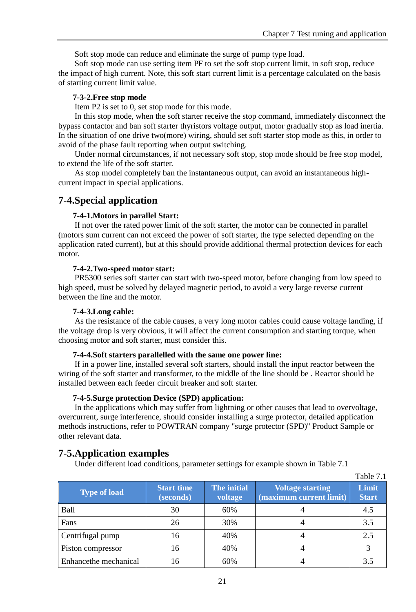$T = T$ 

Soft stop mode can reduce and eliminate the surge of pump type load.

Soft stop mode can use setting item PF to set the soft stop current limit, in soft stop, reduce the impact of high current. Note, this soft start current limit is a percentage calculated on the basis of starting current limit value.

#### **7-3-2.Free stop mode**

Item P2 is set to 0, set stop mode for this mode.

In this stop mode, when the soft starter receive the stop command, immediately disconnect the bypass contactor and ban soft starter thyristors voltage output, motor gradually stop as load inertia. In the situation of one drive two(more) wiring, should set soft starter stop mode as this, in order to avoid of the phase fault reporting when output switching.

Under normal circumstances, if not necessary soft stop, stop mode should be free stop model, to extend the life of the soft starter.

As stop model completely ban the instantaneous output, can avoid an instantaneous highcurrent impact in special applications.

## <span id="page-24-0"></span>**7-4.Special application**

#### **7-4-1.Motors in parallel Start:**

If not over the rated power limit of the soft starter, the motor can be connected in parallel (motors sum current can not exceed the power of soft starter, the type selected depending on the application rated current), but at this should provide additional thermal protection devices for each motor.

#### **7-4-2.Two-speed motor start:**

PR5300 series soft starter can start with two-speed motor, before changing from low speed to high speed, must be solved by delayed magnetic period, to avoid a very large reverse current between the line and the motor.

#### **7-4-3.Long cable:**

As the resistance of the cable causes, a very long motor cables could cause voltage landing, if the voltage drop is very obvious, it will affect the current consumption and starting torque, when choosing motor and soft starter, must consider this.

#### **7-4-4.Soft starters parallelled with the same one power line:**

If in a power line, installed several soft starters, should install the input reactor between the wiring of the soft starter and transformer, to the middle of the line should be . Reactor should be installed between each feeder circuit breaker and soft starter.

#### **7-4-5.Surge protection Device (SPD) application:**

In the applications which may suffer from lightning or other causes that lead to overvoltage, overcurrent, surge interference, should consider installing a surge protector, detailed application methods instructions, refer to POWTRAN company "surge protector (SPD)" Product Sample or other relevant data.

#### <span id="page-24-1"></span>**7-5.Application examples**

Under different load conditions, parameter settings for example shown in Table 7.1

| Type of load          | <b>Start time</b><br>(seconds) | <b>The initial</b><br>voltage | <b>Voltage starting</b><br>(maximum current limit) | Table 7.1<br>Limit<br><b>Start</b> |
|-----------------------|--------------------------------|-------------------------------|----------------------------------------------------|------------------------------------|
| Ball                  | 30                             | 60%                           |                                                    | 4.5                                |
| Fans                  | 26                             | 30%                           |                                                    | 3.5                                |
| Centrifugal pump      | 16                             | 40%                           |                                                    | 2.5                                |
| Piston compressor     | 16                             | 40%                           |                                                    |                                    |
| Enhancethe mechanical | 16                             | 60%                           |                                                    | 3.5                                |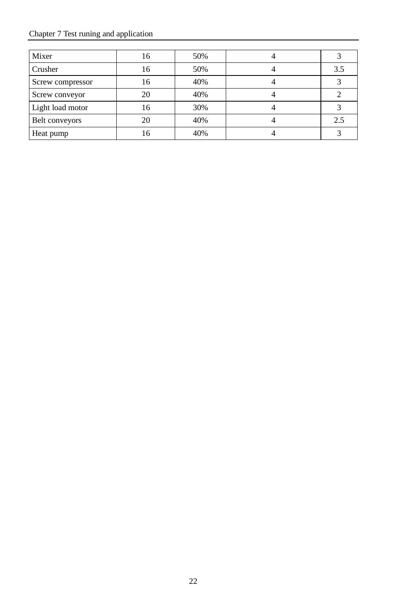# Chapter 7 Test runing and application

| Mixer            | 16 | 50% |     |
|------------------|----|-----|-----|
| Crusher          | 16 | 50% | 3.5 |
| Screw compressor | 16 | 40% |     |
| Screw conveyor   | 20 | 40% |     |
| Light load motor | 16 | 30% |     |
| Belt conveyors   | 20 | 40% | 2.5 |
| Heat pump        | 16 | 40% |     |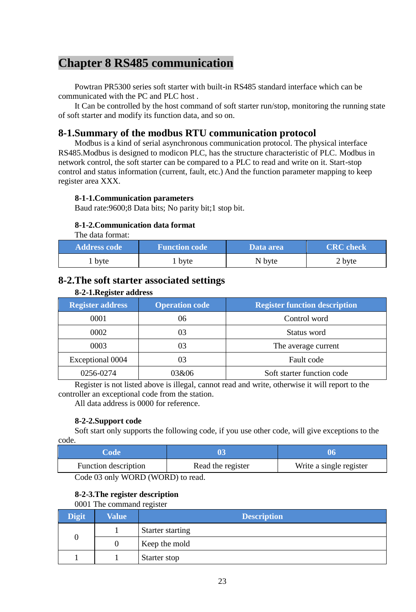# <span id="page-26-0"></span>**Chapter 8 RS485 communication**

Powtran PR5300 series soft starter with built-in RS485 standard interface which can be communicated with the PC and PLC host .

It Can be controlled by the host command of soft starter run/stop, monitoring the running state of soft starter and modify its function data, and so on.

## <span id="page-26-1"></span>**8-1.Summary of the modbus RTU communication protocol**

Modbus is a kind of serial asynchronous communication protocol. The physical interface RS485.Modbus is designed to modicon PLC, has the structure characteristic of PLC. Modbus in network control, the soft starter can be compared to a PLC to read and write on it. Start-stop control and status information (current, fault, etc.) And the function parameter mapping to keep register area XXX.

#### **8-1-1.Communication parameters**

Baud rate:9600;8 Data bits; No parity bit;1 stop bit.

#### **8-1-2.Communication data format**

The data format:

| <b>Address code</b> | <b>Function code</b> | Data area | <b>CRC</b> check |
|---------------------|----------------------|-----------|------------------|
| 1 byte              | byte                 | N byte    | 2 byte           |

## <span id="page-26-2"></span>**8-2.The soft starter associated settings**

| <b>Register address</b> | <b>Operation code</b> | <b>Register function description</b> |
|-------------------------|-----------------------|--------------------------------------|
| 0001                    | 06                    | Control word                         |
| 0002                    | 03                    | Status word                          |
| 0003                    | 03                    | The average current                  |
| Exceptional 0004        | 03                    | Fault code                           |
| 0256-0274               | 03&06                 | Soft starter function code           |

**8-2-1.Register address**

Register is not listed above is illegal, cannot read and write, otherwise it will report to the controller an exceptional code from the station.

All data address is 0000 for reference.

#### **8-2-2.Support code**

Soft start only supports the following code, if you use other code, will give exceptions to the code.

|                   | 06                                 |
|-------------------|------------------------------------|
| Read the register | Write a single register            |
|                   | __________________________________ |

Code 03 only WORD (WORD) to read.

# **8-2-3.The register description**

0001 The command register

| <b>Digit</b> | <b>Value</b> | <b>Description</b> |
|--------------|--------------|--------------------|
|              |              | Starter starting   |
| 0            |              | Keep the mold      |
|              |              | Starter stop       |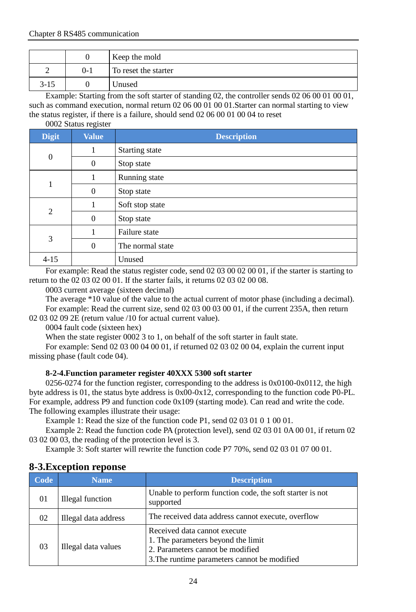|          |         | Keep the mold        |
|----------|---------|----------------------|
|          | $0 - 1$ | To reset the starter |
| $3 - 15$ |         | Unused               |

Example: Starting from the soft starter of standing 02, the controller sends 02 06 00 01 00 01, such as command execution, normal return 02 06 00 01 00 01. Starter can normal starting to view the status register, if there is a failure, should send 02 06 00 01 00 04 to reset

0002 Status register

| <b>Digit</b>   | <b>Value</b> | <b>Description</b> |  |  |  |
|----------------|--------------|--------------------|--|--|--|
| $\mathbf{0}$   | 1            | Starting state     |  |  |  |
|                | $\theta$     | Stop state         |  |  |  |
|                |              | Running state      |  |  |  |
|                | $\theta$     | Stop state         |  |  |  |
| $\overline{c}$ |              | Soft stop state    |  |  |  |
|                | $\mathbf{0}$ | Stop state         |  |  |  |
| 3              |              | Failure state      |  |  |  |
|                | $\theta$     | The normal state   |  |  |  |
| $4 - 15$       |              | Unused             |  |  |  |

For example: Read the status register code, send 02 03 00 02 00 01, if the starter is starting to return to the 02 03 02 00 01. If the starter fails, it returns 02 03 02 00 08.

0003 current average (sixteen decimal)

The average \*10 value of the value to the actual current of motor phase (including a decimal). For example: Read the current size, send 02 03 00 03 00 01, if the current 235A, then return 02 03 02 09 2E (return value /10 for actual current value).

0004 fault code (sixteen hex)

When the state register 0002 3 to 1, on behalf of the soft starter in fault state.

For example: Send 02 03 00 04 00 01, if returned 02 03 02 00 04, explain the current input missing phase (fault code 04).

#### **8-2-4.Function parameter register 40XXX 5300 soft starter**

0256-0274 for the function register, corresponding to the address is  $0x0100-0x0112$ , the high byte address is 01, the status byte address is 0x00-0x12, corresponding to the function code P0-PL. For example, address P9 and function code 0x109 (starting mode). Can read and write the code. The following examples illustrate their usage:

Example 1: Read the size of the function code P1, send 02 03 01 0 1 00 01.

Example 2: Read the function code PA (protection level), send 02 03 01 0A 00 01, if return 02 03 02 00 03, the reading of the protection level is 3.

Example 3: Soft starter will rewrite the function code P7 70%, send 02 03 01 07 00 01.

| Code | <b>Name</b>             | <b>Description</b>                                                                                                                                     |
|------|-------------------------|--------------------------------------------------------------------------------------------------------------------------------------------------------|
| 01   | <b>Illegal</b> function | Unable to perform function code, the soft starter is not<br>supported                                                                                  |
| 02   | Illegal data address    | The received data address cannot execute, overflow                                                                                                     |
| 03   | Illegal data values     | Received data cannot execute<br>1. The parameters beyond the limit<br>2. Parameters cannot be modified<br>3. The runtime parameters cannot be modified |

## <span id="page-27-0"></span>**8-3.Exception reponse**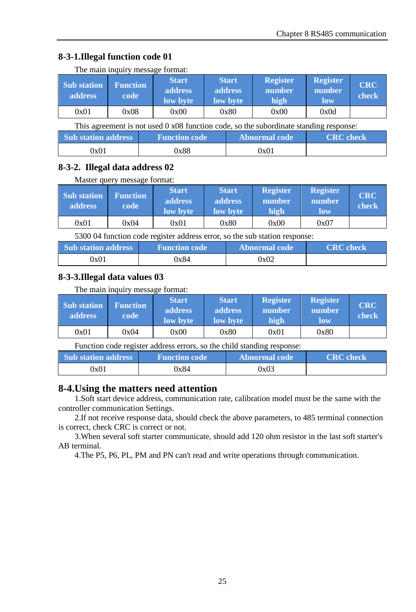# **8-3-1.Illegal function code 01**

| The main inquiry message format: |  |  |  |
|----------------------------------|--|--|--|
|                                  |  |  |  |

| Sub station<br>address                                                                        | <b>Function</b><br>code | <b>Start</b><br>address<br>low byte |                      | <b>Start</b><br>address<br>low byte | <b>Register</b><br>number<br>high | <b>Register</b><br>number<br>low | <b>CRC</b><br>check |
|-----------------------------------------------------------------------------------------------|-------------------------|-------------------------------------|----------------------|-------------------------------------|-----------------------------------|----------------------------------|---------------------|
| 0x01                                                                                          | 0x08                    | 0x00                                |                      | 0x80                                | 0x00                              | 0x0d                             |                     |
| This agreement is not used $0 \times 08$ function code, so the subordinate standing response: |                         |                                     |                      |                                     |                                   |                                  |                     |
| Sub station address                                                                           |                         |                                     | <b>Function code</b> |                                     | <b>Abnormal</b> code              | <b>CRC</b> check                 |                     |
| 0x01                                                                                          |                         | 0x88                                |                      |                                     | 0x01                              |                                  |                     |

## **8-3-2. Illegal data address 02**

#### Master query message format:

| Sub station<br><b>address</b> | <b>Function</b><br>code | <b>Start</b><br>address<br>low byte | <b>Start</b><br>address<br>low byte | <b>Register</b><br>number<br>high | <b>Register</b><br>number<br>low | <b>CRC</b><br>check |
|-------------------------------|-------------------------|-------------------------------------|-------------------------------------|-----------------------------------|----------------------------------|---------------------|
| 0x01                          | 0x04                    | 0x01                                | 0x80                                | 0x00                              | 0x07                             |                     |

5300 04 function code register address error, so the sub station response:

| <b>Sub</b> station address | <b>Function code</b> | Abnormal code | <b>CRC</b> check |
|----------------------------|----------------------|---------------|------------------|
| 0x01                       | 0x84                 | 0x02          |                  |

## **8-3-3.Illegal data values 03**

The main inquiry message format:

| Sub station<br>address. | <b>Function</b><br>code | <b>Start</b><br>address.<br>low byte | <b>Start</b><br>address<br>low byte | <b>Register</b><br>number<br>high | <b>Register</b><br>number<br>low | <b>CRC</b><br>check |
|-------------------------|-------------------------|--------------------------------------|-------------------------------------|-----------------------------------|----------------------------------|---------------------|
| 0x01                    | 0x04                    | 0x00                                 | 0x80                                | 0x01                              | 0x80                             |                     |

Function code register address errors, so the child standing response:

| <b>Sub</b> station address | <b>Function code</b> | Abnormal code | <b>CRC</b> check |
|----------------------------|----------------------|---------------|------------------|
| 0x01                       | 0x84                 | 0x03          |                  |

# <span id="page-28-0"></span>**8-4.Using the matters need attention**

1.Soft start device address, communication rate, calibration model must be the same with the controller communication Settings.

2.If not receive response data, should check the above parameters, to 485 terminal connection is correct, check CRC is correct or not.

3.When several soft starter communicate, should add 120 ohm resistor in the last soft starter's AB terminal.

4.The P5, P6, PL, PM and PN can't read and write operations through communication.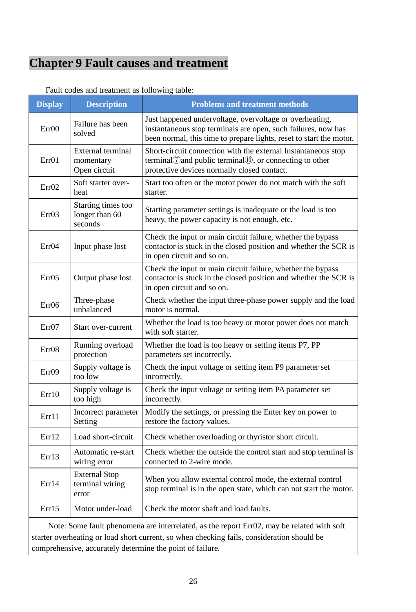# <span id="page-29-0"></span>**Chapter 9 Fault causes and treatment**

| <b>Display</b>                                            | <b>Description</b>                              | <b>Problems and treatment methods</b>                                                                                                                                                           |  |  |
|-----------------------------------------------------------|-------------------------------------------------|-------------------------------------------------------------------------------------------------------------------------------------------------------------------------------------------------|--|--|
| Err00                                                     | Failure has been<br>solved                      | Just happened undervoltage, overvoltage or overheating,<br>instantaneous stop terminals are open, such failures, now has<br>been normal, this time to prepare lights, reset to start the motor. |  |  |
| Err01                                                     | External terminal<br>momentary<br>Open circuit  | Short-circuit connection with the external Instantaneous stop<br>terminal Cand public terminal (0), or connecting to other<br>protective devices normally closed contact.                       |  |  |
| Err <sub>02</sub>                                         | Soft starter over-<br>heat                      | Start too often or the motor power do not match with the soft<br>starter.                                                                                                                       |  |  |
| Err <sub>03</sub>                                         | Starting times too<br>longer than 60<br>seconds | Starting parameter settings is inadequate or the load is too<br>heavy, the power capacity is not enough, etc.                                                                                   |  |  |
| Err04                                                     | Input phase lost                                | Check the input or main circuit failure, whether the bypass<br>contactor is stuck in the closed position and whether the SCR is<br>in open circuit and so on.                                   |  |  |
| Err05                                                     | Output phase lost                               | Check the input or main circuit failure, whether the bypass<br>contactor is stuck in the closed position and whether the SCR is<br>in open circuit and so on.                                   |  |  |
| $Err$ 06                                                  | Three-phase<br>unbalanced                       | Check whether the input three-phase power supply and the load<br>motor is normal.                                                                                                               |  |  |
| ErrO7                                                     | Start over-current                              | Whether the load is too heavy or motor power does not match<br>with soft starter.                                                                                                               |  |  |
| Err <sub>08</sub>                                         | Running overload<br>protection                  | Whether the load is too heavy or setting items P7, PP<br>parameters set incorrectly.                                                                                                            |  |  |
| Err09                                                     | Supply voltage is<br>too low                    | Check the input voltage or setting item P9 parameter set<br>incorrectly.                                                                                                                        |  |  |
| Err10                                                     | Supply voltage is<br>too high                   | Check the input voltage or setting item PA parameter set<br>incorrectly.                                                                                                                        |  |  |
| Err11                                                     | Incorrect parameter<br>Setting                  | Modify the settings, or pressing the Enter key on power to<br>restore the factory values.                                                                                                       |  |  |
| Err12                                                     | Load short-circuit                              | Check whether overloading or thyristor short circuit.                                                                                                                                           |  |  |
| Err13                                                     | Automatic re-start<br>wiring error              | Check whether the outside the control start and stop terminal is<br>connected to 2-wire mode.                                                                                                   |  |  |
| <b>External Stop</b><br>terminal wiring<br>Err14<br>error |                                                 | When you allow external control mode, the external control<br>stop terminal is in the open state, which can not start the motor.                                                                |  |  |
| Err15                                                     | Motor under-load                                | Check the motor shaft and load faults.                                                                                                                                                          |  |  |

Fault codes and treatment as following table:

Note: Some fault phenomena are interrelated, as the report Err02, may be related with soft starter overheating or load short current, so when checking fails, consideration should be comprehensive, accurately determine the point of failure.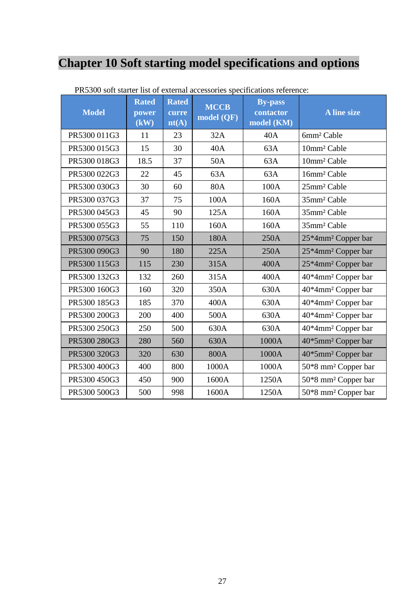# <span id="page-30-0"></span>**Chapter 10 Soft starting model specifications and options**

| <b>Model</b> | <b>Rated</b><br>power<br>$\overline{(\mathbf{kW})}$ | <b>Rated</b><br>curre<br>nt(A) | <b>MCCB</b><br>model (QF) | <b>By-pass</b><br>contactor<br>model (KM) | <b>A</b> line size              |
|--------------|-----------------------------------------------------|--------------------------------|---------------------------|-------------------------------------------|---------------------------------|
| PR5300 011G3 | 11                                                  | 23                             | 32A                       | 40A                                       | 6mm <sup>2</sup> Cable          |
| PR5300 015G3 | 15                                                  | 30                             | 40A                       | 63A                                       | 10mm <sup>2</sup> Cable         |
| PR5300 018G3 | 18.5                                                | 37                             | 50A                       | 63A                                       | 10mm <sup>2</sup> Cable         |
| PR5300 022G3 | 22                                                  | 45                             | 63A                       | 63A                                       | 16mm <sup>2</sup> Cable         |
| PR5300 030G3 | 30                                                  | 60                             | 80A                       | 100A                                      | 25mm <sup>2</sup> Cable         |
| PR5300 037G3 | 37                                                  | 75                             | 100A                      | 160A                                      | 35mm <sup>2</sup> Cable         |
| PR5300 045G3 | 45                                                  | 90                             | 125A                      | 160A                                      | 35mm <sup>2</sup> Cable         |
| PR5300 055G3 | 55                                                  | 110                            | 160A                      | 160A                                      | 35mm <sup>2</sup> Cable         |
| PR5300 075G3 | 75                                                  | 150                            | 180A                      | 250A                                      | 25*4mm <sup>2</sup> Copper bar  |
| PR5300 090G3 | 90                                                  | 180                            | 225A                      | 250A                                      | 25*4mm <sup>2</sup> Copper bar  |
| PR5300 115G3 | 115                                                 | 230                            | 315A                      | 400A                                      | 25*4mm <sup>2</sup> Copper bar  |
| PR5300 132G3 | 132                                                 | 260                            | 315A                      | 400A                                      | 40*4mm <sup>2</sup> Copper bar  |
| PR5300 160G3 | 160                                                 | 320                            | 350A                      | 630A                                      | 40*4mm <sup>2</sup> Copper bar  |
| PR5300 185G3 | 185                                                 | 370                            | 400A                      | 630A                                      | 40*4mm <sup>2</sup> Copper bar  |
| PR5300 200G3 | 200                                                 | 400                            | 500A                      | 630A                                      | 40*4mm <sup>2</sup> Copper bar  |
| PR5300 250G3 | 250                                                 | 500                            | 630A                      | 630A                                      | 40*4mm <sup>2</sup> Copper bar  |
| PR5300 280G3 | 280                                                 | 560                            | 630A                      | 1000A                                     | 40*5mm <sup>2</sup> Copper bar  |
| PR5300 320G3 | 320                                                 | 630                            | 800A                      | 1000A                                     | 40*5mm <sup>2</sup> Copper bar  |
| PR5300 400G3 | 400                                                 | 800                            | 1000A                     | 1000A                                     | 50*8 mm <sup>2</sup> Copper bar |
| PR5300 450G3 | 450                                                 | 900                            | 1600A                     | 1250A                                     | 50*8 mm <sup>2</sup> Copper bar |
| PR5300 500G3 | 500                                                 | 998                            | 1600A                     | 1250A                                     | 50*8 mm <sup>2</sup> Copper bar |

PR5300 soft starter list of external accessories specifications reference: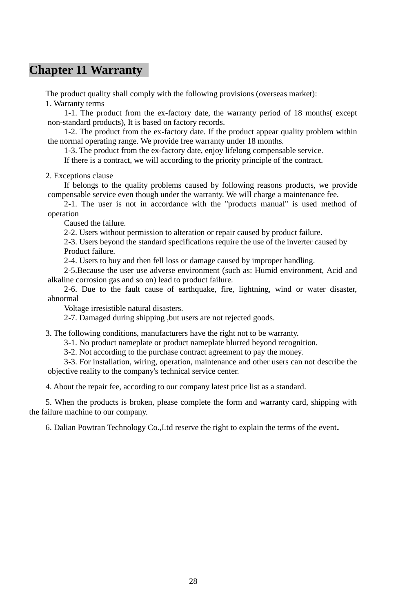# <span id="page-31-0"></span>**Chapter 11 Warranty**

The product quality shall comply with the following provisions (overseas market):

1. Warranty terms

1-1. The product from the ex-factory date, the warranty period of 18 months( except non-standard products), It is based on factory records.

1-2. The product from the ex-factory date. If the product appear quality problem within the normal operating range. We provide free warranty under 18 months.

1-3. The product from the ex-factory date, enjoy lifelong compensable service.

If there is a contract, we will according to the priority principle of the contract.

2. Exceptions clause

If belongs to the quality problems caused by following reasons products, we provide compensable service even though under the warranty. We will charge a maintenance fee.

2-1. The user is not in accordance with the "products manual" is used method of operation

Caused the failure.

2-2. Users without permission to alteration or repair caused by product failure.

2-3. Users beyond the standard specifications require the use of the inverter caused by Product failure.

2-4. Users to buy and then fell loss or damage caused by improper handling.

2-5.Because the user use adverse environment (such as: Humid environment, Acid and alkaline corrosion gas and so on) lead to product failure.

2-6. Due to the fault cause of earthquake, fire, lightning, wind or water disaster, abnormal

Voltage irresistible natural disasters.

2-7. Damaged during shipping ,but users are not rejected goods.

3. The following conditions, manufacturers have the right not to be warranty.

3-1. No product nameplate or product nameplate blurred beyond recognition.

3-2. Not according to the purchase contract agreement to pay the money.

3-3. For installation, wiring, operation, maintenance and other users can not describe the objective reality to the company's technical service center.

4. About the repair fee, according to our company latest price list as a standard.

5. When the products is broken, please complete the form and warranty card, shipping with the failure machine to our company.

6. Dalian Powtran Technology Co.,Ltd reserve the right to explain the terms of the event**.**